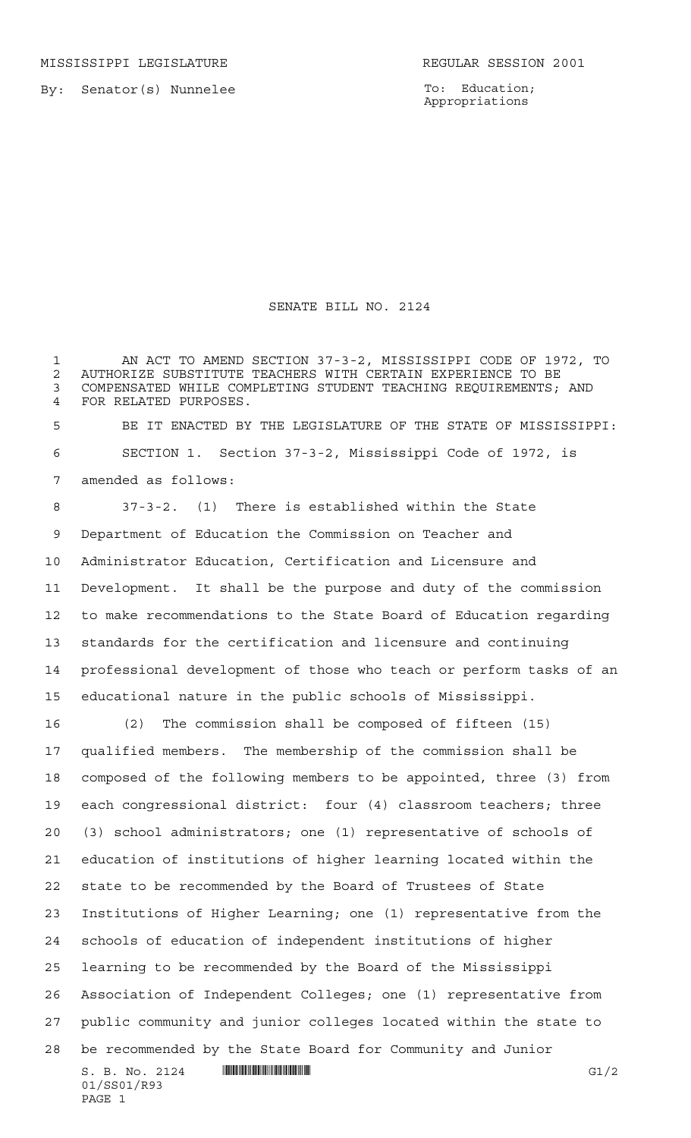To: Education; Appropriations

## SENATE BILL NO. 2124

 AN ACT TO AMEND SECTION 37-3-2, MISSISSIPPI CODE OF 1972, TO 2 AUTHORIZE SUBSTITUTE TEACHERS WITH CERTAIN EXPERIENCE TO BE<br>3 COMPENSATED WHILE COMPLETING STUDENT TEACHING REOUIREMENTS: COMPENSATED WHILE COMPLETING STUDENT TEACHING REQUIREMENTS; AND FOR RELATED PURPOSES. BE IT ENACTED BY THE LEGISLATURE OF THE STATE OF MISSISSIPPI: SECTION 1. Section 37-3-2, Mississippi Code of 1972, is amended as follows: 37-3-2. (1) There is established within the State Department of Education the Commission on Teacher and Administrator Education, Certification and Licensure and Development. It shall be the purpose and duty of the commission to make recommendations to the State Board of Education regarding standards for the certification and licensure and continuing

 professional development of those who teach or perform tasks of an educational nature in the public schools of Mississippi.

 $S. B. No. 2124$  **INIIIIIIIIIIIIIIIIIIIIIIIIIIIIIII** 01/SS01/R93 (2) The commission shall be composed of fifteen (15) qualified members. The membership of the commission shall be composed of the following members to be appointed, three (3) from each congressional district: four (4) classroom teachers; three (3) school administrators; one (1) representative of schools of education of institutions of higher learning located within the state to be recommended by the Board of Trustees of State Institutions of Higher Learning; one (1) representative from the schools of education of independent institutions of higher learning to be recommended by the Board of the Mississippi Association of Independent Colleges; one (1) representative from public community and junior colleges located within the state to be recommended by the State Board for Community and Junior

```
PAGE 1
```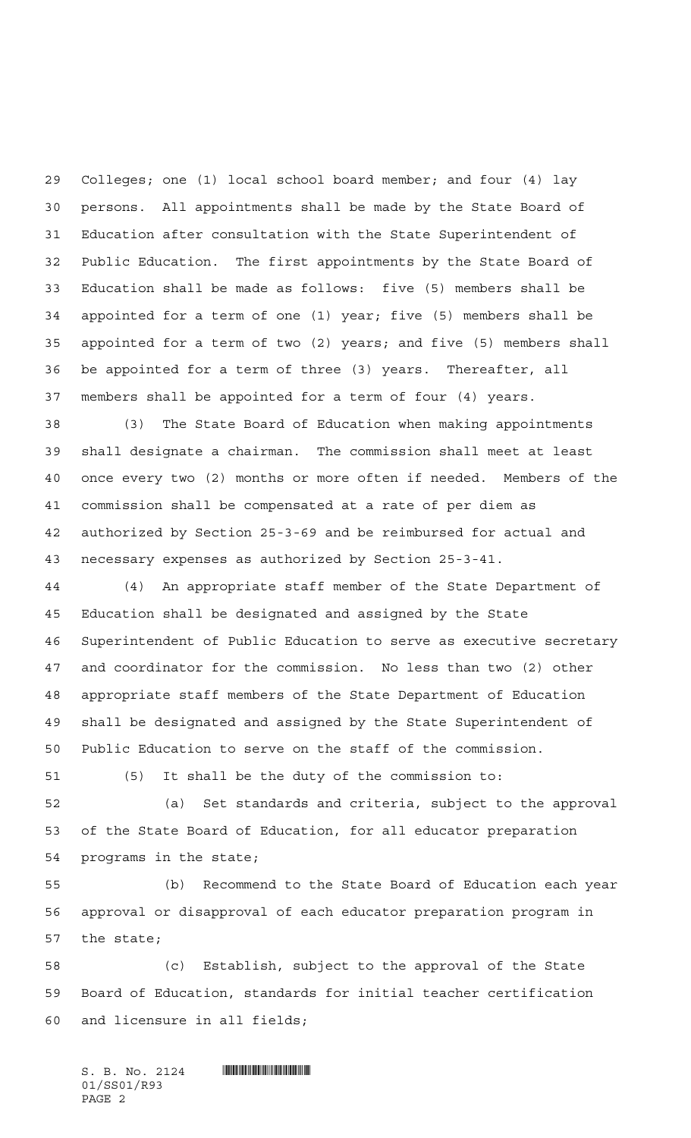Colleges; one (1) local school board member; and four (4) lay persons. All appointments shall be made by the State Board of Education after consultation with the State Superintendent of Public Education. The first appointments by the State Board of Education shall be made as follows: five (5) members shall be appointed for a term of one (1) year; five (5) members shall be appointed for a term of two (2) years; and five (5) members shall be appointed for a term of three (3) years. Thereafter, all members shall be appointed for a term of four (4) years.

 (3) The State Board of Education when making appointments shall designate a chairman. The commission shall meet at least once every two (2) months or more often if needed. Members of the commission shall be compensated at a rate of per diem as authorized by Section 25-3-69 and be reimbursed for actual and necessary expenses as authorized by Section 25-3-41.

 (4) An appropriate staff member of the State Department of Education shall be designated and assigned by the State Superintendent of Public Education to serve as executive secretary and coordinator for the commission. No less than two (2) other appropriate staff members of the State Department of Education shall be designated and assigned by the State Superintendent of Public Education to serve on the staff of the commission.

(5) It shall be the duty of the commission to:

 (a) Set standards and criteria, subject to the approval of the State Board of Education, for all educator preparation programs in the state;

 (b) Recommend to the State Board of Education each year approval or disapproval of each educator preparation program in the state;

 (c) Establish, subject to the approval of the State Board of Education, standards for initial teacher certification and licensure in all fields;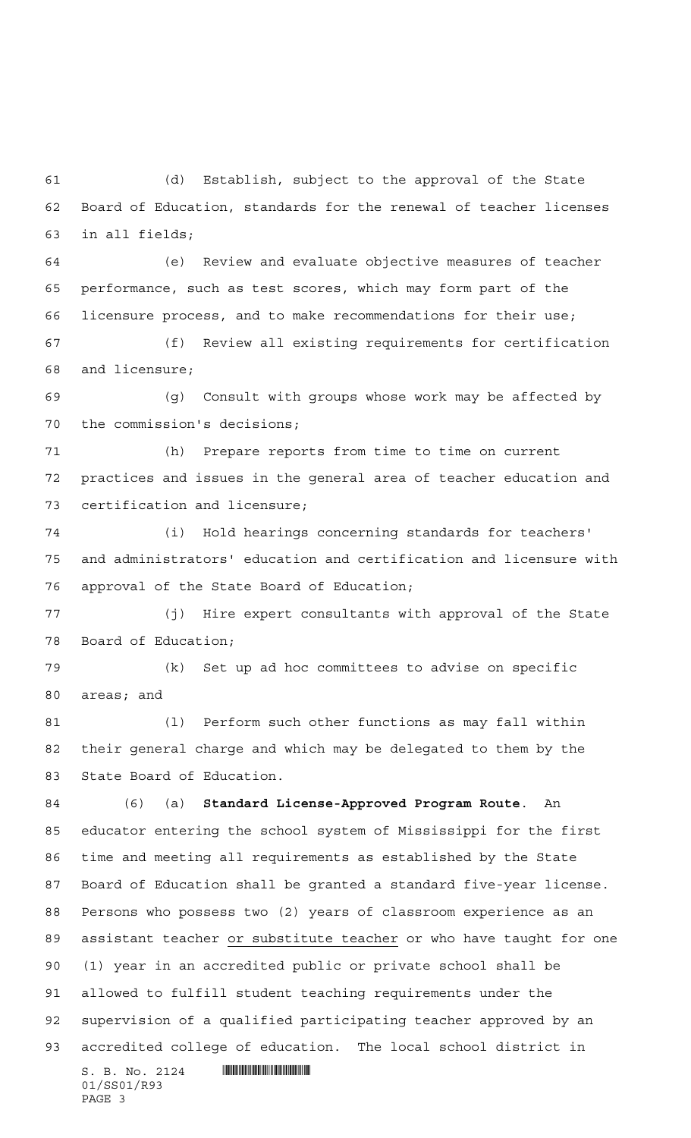(d) Establish, subject to the approval of the State Board of Education, standards for the renewal of teacher licenses in all fields;

 (e) Review and evaluate objective measures of teacher performance, such as test scores, which may form part of the licensure process, and to make recommendations for their use;

 (f) Review all existing requirements for certification and licensure;

 (g) Consult with groups whose work may be affected by the commission's decisions;

 (h) Prepare reports from time to time on current practices and issues in the general area of teacher education and certification and licensure;

 (i) Hold hearings concerning standards for teachers' and administrators' education and certification and licensure with approval of the State Board of Education;

 (j) Hire expert consultants with approval of the State Board of Education;

 (k) Set up ad hoc committees to advise on specific areas; and

81 (1) Perform such other functions as may fall within their general charge and which may be delegated to them by the State Board of Education.

 $S. B. No. 2124$  **Will Alberta Alberta**  $\blacksquare$  (6) (a) **Standard License-Approved Program Route**. An educator entering the school system of Mississippi for the first time and meeting all requirements as established by the State Board of Education shall be granted a standard five-year license. Persons who possess two (2) years of classroom experience as an assistant teacher or substitute teacher or who have taught for one (1) year in an accredited public or private school shall be allowed to fulfill student teaching requirements under the supervision of a qualified participating teacher approved by an accredited college of education. The local school district in

01/SS01/R93 PAGE 3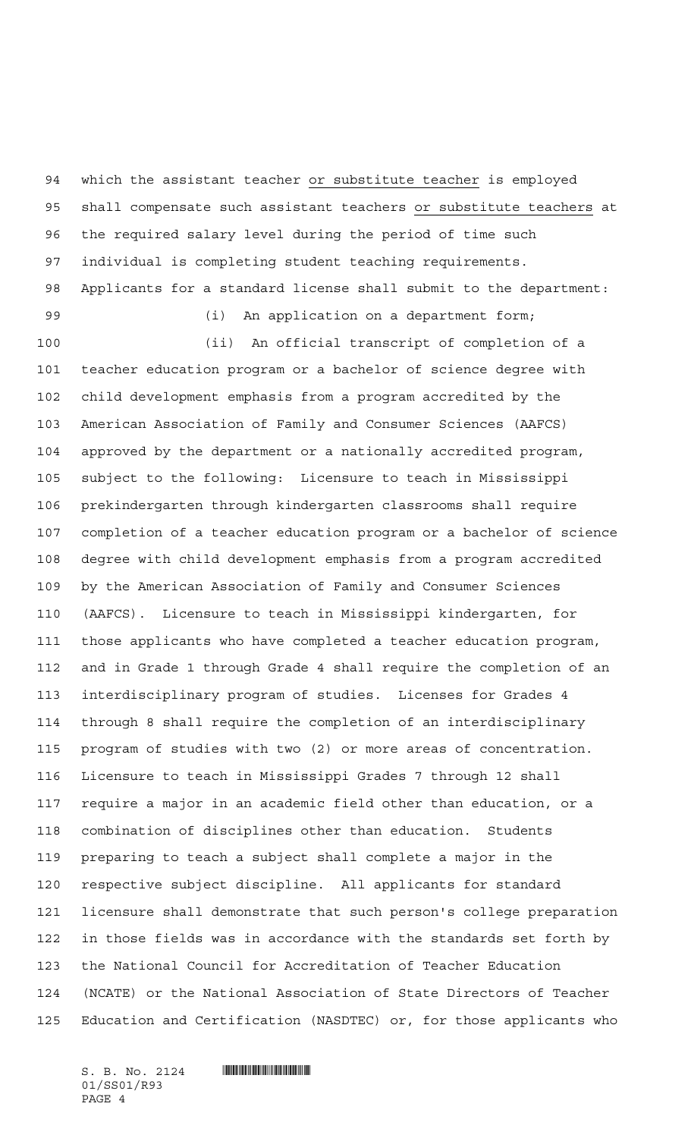which the assistant teacher or substitute teacher is employed shall compensate such assistant teachers or substitute teachers at the required salary level during the period of time such individual is completing student teaching requirements. Applicants for a standard license shall submit to the department:

(i) An application on a department form;

 (ii) An official transcript of completion of a teacher education program or a bachelor of science degree with child development emphasis from a program accredited by the American Association of Family and Consumer Sciences (AAFCS) approved by the department or a nationally accredited program, subject to the following: Licensure to teach in Mississippi prekindergarten through kindergarten classrooms shall require completion of a teacher education program or a bachelor of science degree with child development emphasis from a program accredited by the American Association of Family and Consumer Sciences (AAFCS). Licensure to teach in Mississippi kindergarten, for those applicants who have completed a teacher education program, and in Grade 1 through Grade 4 shall require the completion of an interdisciplinary program of studies. Licenses for Grades 4 through 8 shall require the completion of an interdisciplinary program of studies with two (2) or more areas of concentration. Licensure to teach in Mississippi Grades 7 through 12 shall require a major in an academic field other than education, or a combination of disciplines other than education. Students preparing to teach a subject shall complete a major in the respective subject discipline. All applicants for standard licensure shall demonstrate that such person's college preparation in those fields was in accordance with the standards set forth by the National Council for Accreditation of Teacher Education (NCATE) or the National Association of State Directors of Teacher Education and Certification (NASDTEC) or, for those applicants who

01/SS01/R93 PAGE 4

 $S.$  B. No. 2124  $\blacksquare$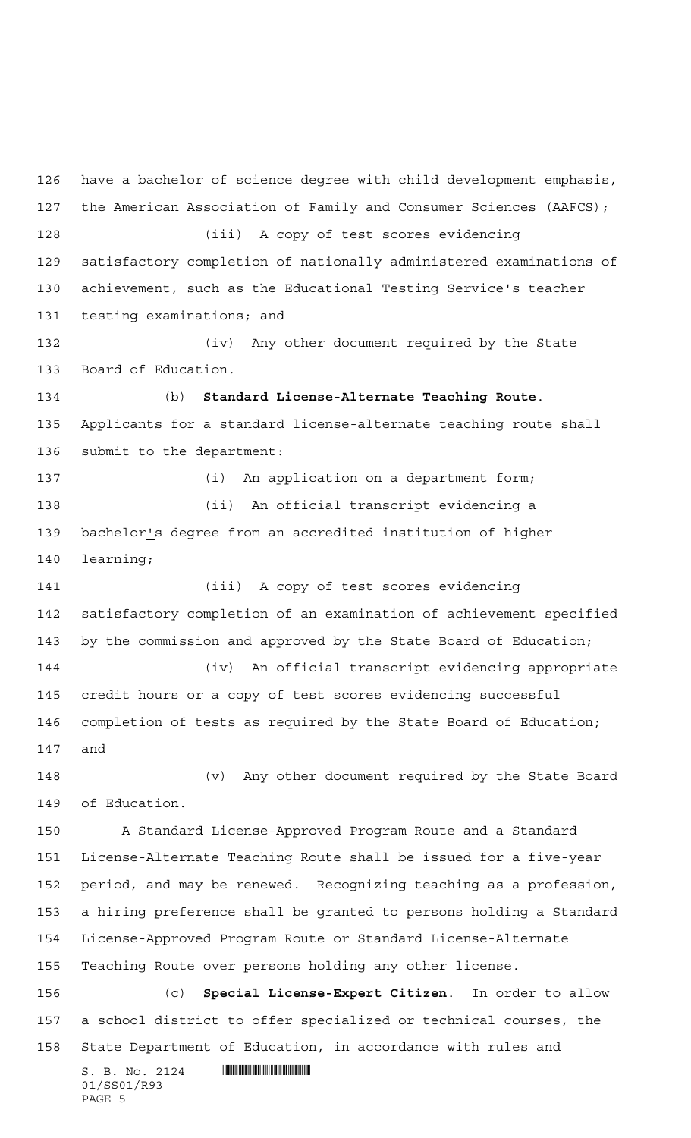$S. B. No. 2124$  **INSTERNAL SET AND ALL STATES** 01/SS01/R93 have a bachelor of science degree with child development emphasis, the American Association of Family and Consumer Sciences (AAFCS); (iii) A copy of test scores evidencing satisfactory completion of nationally administered examinations of achievement, such as the Educational Testing Service's teacher testing examinations; and (iv) Any other document required by the State Board of Education. (b) **Standard License-Alternate Teaching Route**. Applicants for a standard license-alternate teaching route shall submit to the department: (i) An application on a department form; (ii) An official transcript evidencing a bachelor's degree from an accredited institution of higher learning; (iii) A copy of test scores evidencing satisfactory completion of an examination of achievement specified by the commission and approved by the State Board of Education; (iv) An official transcript evidencing appropriate credit hours or a copy of test scores evidencing successful completion of tests as required by the State Board of Education; and (v) Any other document required by the State Board of Education. A Standard License-Approved Program Route and a Standard License-Alternate Teaching Route shall be issued for a five-year period, and may be renewed. Recognizing teaching as a profession, a hiring preference shall be granted to persons holding a Standard License-Approved Program Route or Standard License-Alternate Teaching Route over persons holding any other license. (c) **Special License-Expert Citizen**. In order to allow a school district to offer specialized or technical courses, the State Department of Education, in accordance with rules and

PAGE 5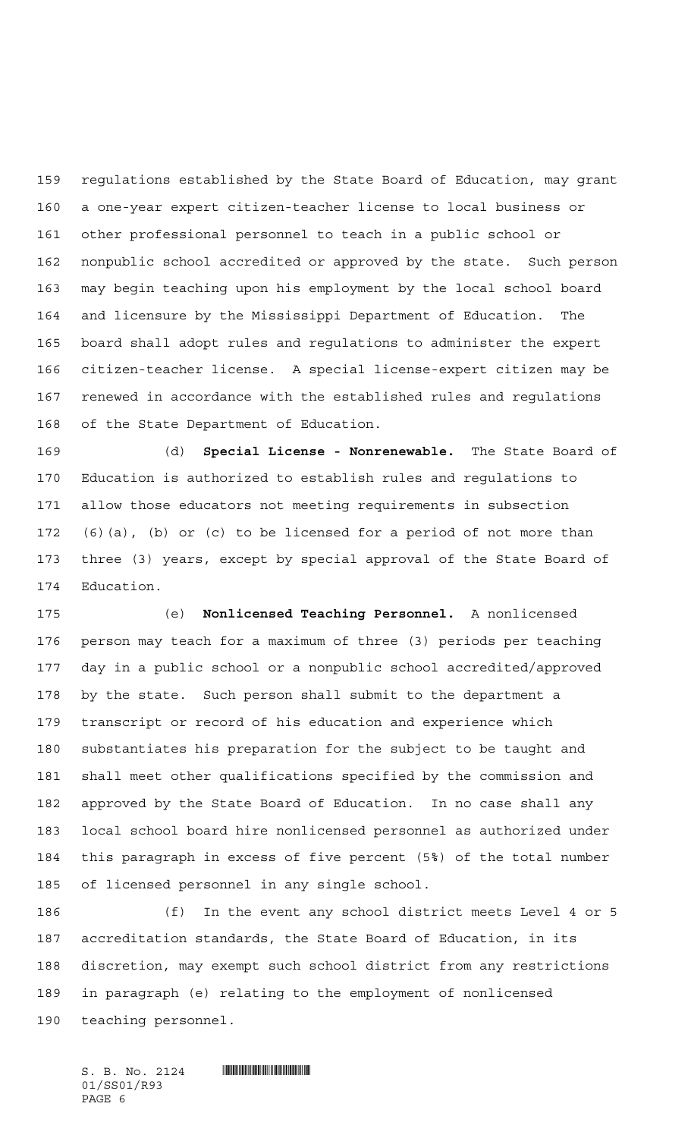regulations established by the State Board of Education, may grant a one-year expert citizen-teacher license to local business or other professional personnel to teach in a public school or nonpublic school accredited or approved by the state. Such person may begin teaching upon his employment by the local school board and licensure by the Mississippi Department of Education. The board shall adopt rules and regulations to administer the expert citizen-teacher license. A special license-expert citizen may be renewed in accordance with the established rules and regulations of the State Department of Education.

 (d) **Special License - Nonrenewable.** The State Board of Education is authorized to establish rules and regulations to allow those educators not meeting requirements in subsection (6)(a), (b) or (c) to be licensed for a period of not more than three (3) years, except by special approval of the State Board of Education.

 (e) **Nonlicensed Teaching Personnel.** A nonlicensed person may teach for a maximum of three (3) periods per teaching day in a public school or a nonpublic school accredited/approved by the state. Such person shall submit to the department a transcript or record of his education and experience which substantiates his preparation for the subject to be taught and shall meet other qualifications specified by the commission and approved by the State Board of Education. In no case shall any local school board hire nonlicensed personnel as authorized under this paragraph in excess of five percent (5%) of the total number of licensed personnel in any single school.

 (f) In the event any school district meets Level 4 or 5 accreditation standards, the State Board of Education, in its discretion, may exempt such school district from any restrictions in paragraph (e) relating to the employment of nonlicensed teaching personnel.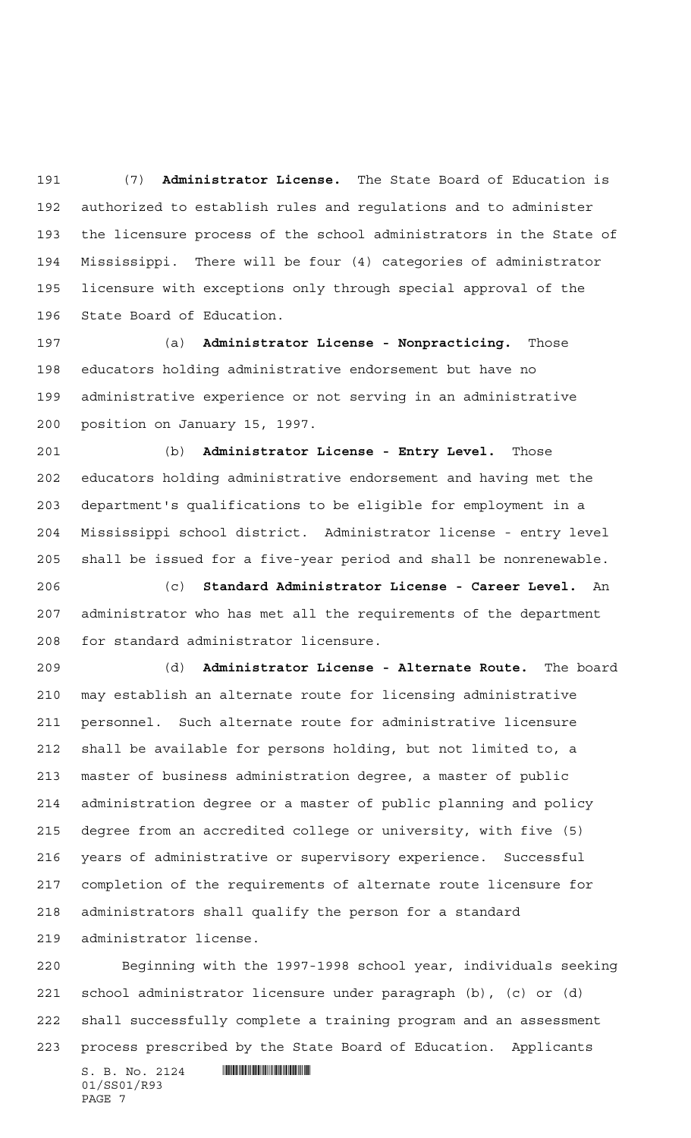(7) **Administrator License.** The State Board of Education is authorized to establish rules and regulations and to administer the licensure process of the school administrators in the State of Mississippi. There will be four (4) categories of administrator licensure with exceptions only through special approval of the State Board of Education.

 (a) **Administrator License - Nonpracticing.** Those educators holding administrative endorsement but have no administrative experience or not serving in an administrative position on January 15, 1997.

 (b) **Administrator License - Entry Level.** Those educators holding administrative endorsement and having met the department's qualifications to be eligible for employment in a Mississippi school district. Administrator license - entry level shall be issued for a five-year period and shall be nonrenewable.

 (c) **Standard Administrator License - Career Level.** An administrator who has met all the requirements of the department for standard administrator licensure.

 (d) **Administrator License - Alternate Route.** The board may establish an alternate route for licensing administrative personnel. Such alternate route for administrative licensure shall be available for persons holding, but not limited to, a master of business administration degree, a master of public administration degree or a master of public planning and policy degree from an accredited college or university, with five (5) years of administrative or supervisory experience. Successful completion of the requirements of alternate route licensure for administrators shall qualify the person for a standard administrator license.

 Beginning with the 1997-1998 school year, individuals seeking school administrator licensure under paragraph (b), (c) or (d) shall successfully complete a training program and an assessment process prescribed by the State Board of Education. Applicants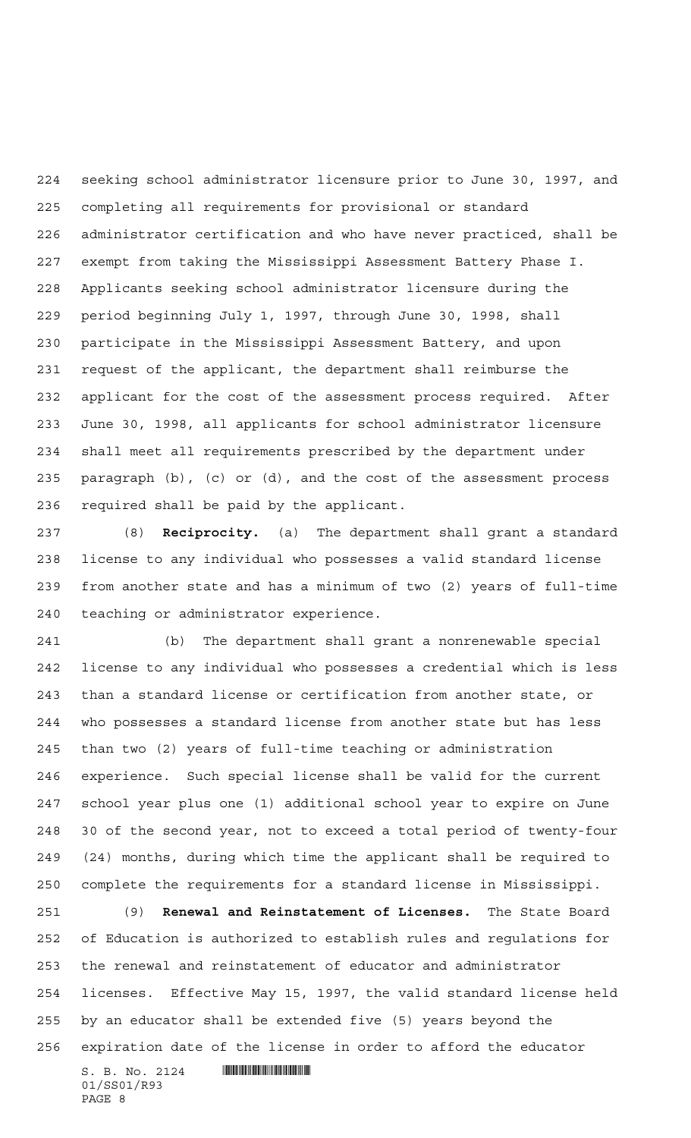seeking school administrator licensure prior to June 30, 1997, and completing all requirements for provisional or standard administrator certification and who have never practiced, shall be exempt from taking the Mississippi Assessment Battery Phase I. Applicants seeking school administrator licensure during the period beginning July 1, 1997, through June 30, 1998, shall participate in the Mississippi Assessment Battery, and upon request of the applicant, the department shall reimburse the applicant for the cost of the assessment process required. After June 30, 1998, all applicants for school administrator licensure shall meet all requirements prescribed by the department under paragraph (b), (c) or (d), and the cost of the assessment process required shall be paid by the applicant.

 (8) **Reciprocity.** (a) The department shall grant a standard license to any individual who possesses a valid standard license from another state and has a minimum of two (2) years of full-time teaching or administrator experience.

 (b) The department shall grant a nonrenewable special license to any individual who possesses a credential which is less than a standard license or certification from another state, or who possesses a standard license from another state but has less than two (2) years of full-time teaching or administration experience. Such special license shall be valid for the current school year plus one (1) additional school year to expire on June 30 of the second year, not to exceed a total period of twenty-four (24) months, during which time the applicant shall be required to complete the requirements for a standard license in Mississippi.

 (9) **Renewal and Reinstatement of Licenses.** The State Board of Education is authorized to establish rules and regulations for the renewal and reinstatement of educator and administrator licenses. Effective May 15, 1997, the valid standard license held by an educator shall be extended five (5) years beyond the expiration date of the license in order to afford the educator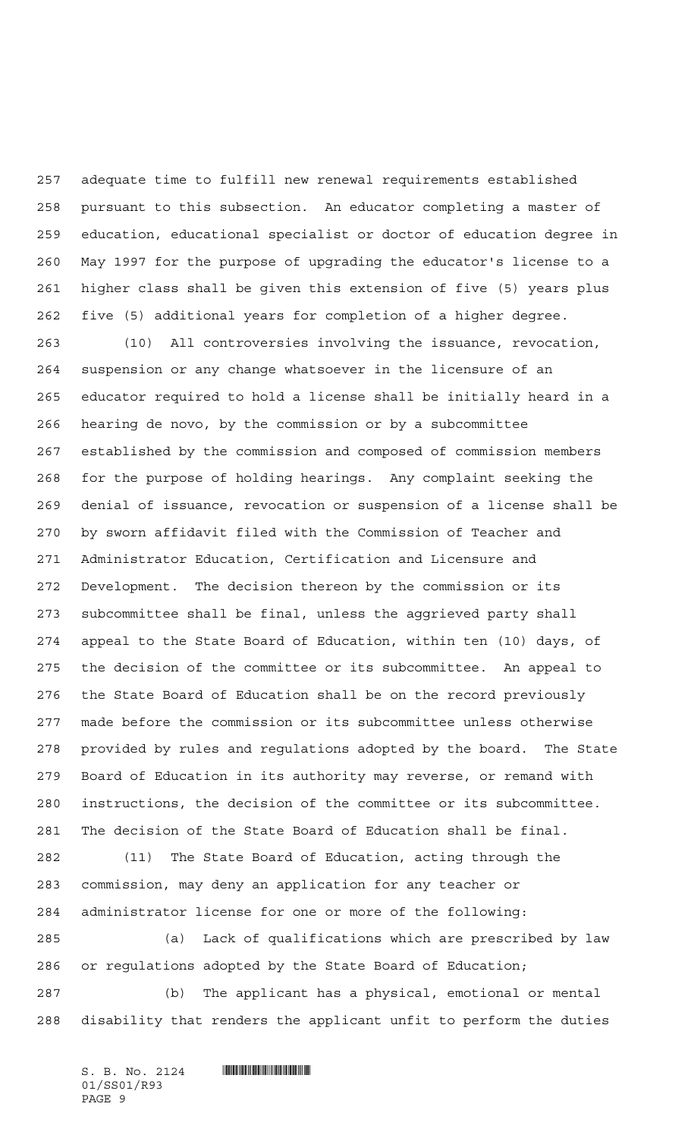adequate time to fulfill new renewal requirements established pursuant to this subsection. An educator completing a master of education, educational specialist or doctor of education degree in May 1997 for the purpose of upgrading the educator's license to a higher class shall be given this extension of five (5) years plus five (5) additional years for completion of a higher degree.

 (10) All controversies involving the issuance, revocation, suspension or any change whatsoever in the licensure of an educator required to hold a license shall be initially heard in a hearing de novo, by the commission or by a subcommittee established by the commission and composed of commission members for the purpose of holding hearings. Any complaint seeking the denial of issuance, revocation or suspension of a license shall be by sworn affidavit filed with the Commission of Teacher and Administrator Education, Certification and Licensure and Development. The decision thereon by the commission or its subcommittee shall be final, unless the aggrieved party shall appeal to the State Board of Education, within ten (10) days, of the decision of the committee or its subcommittee. An appeal to the State Board of Education shall be on the record previously made before the commission or its subcommittee unless otherwise provided by rules and regulations adopted by the board. The State Board of Education in its authority may reverse, or remand with instructions, the decision of the committee or its subcommittee. The decision of the State Board of Education shall be final.

 (11) The State Board of Education, acting through the commission, may deny an application for any teacher or administrator license for one or more of the following:

 (a) Lack of qualifications which are prescribed by law or regulations adopted by the State Board of Education; (b) The applicant has a physical, emotional or mental

disability that renders the applicant unfit to perform the duties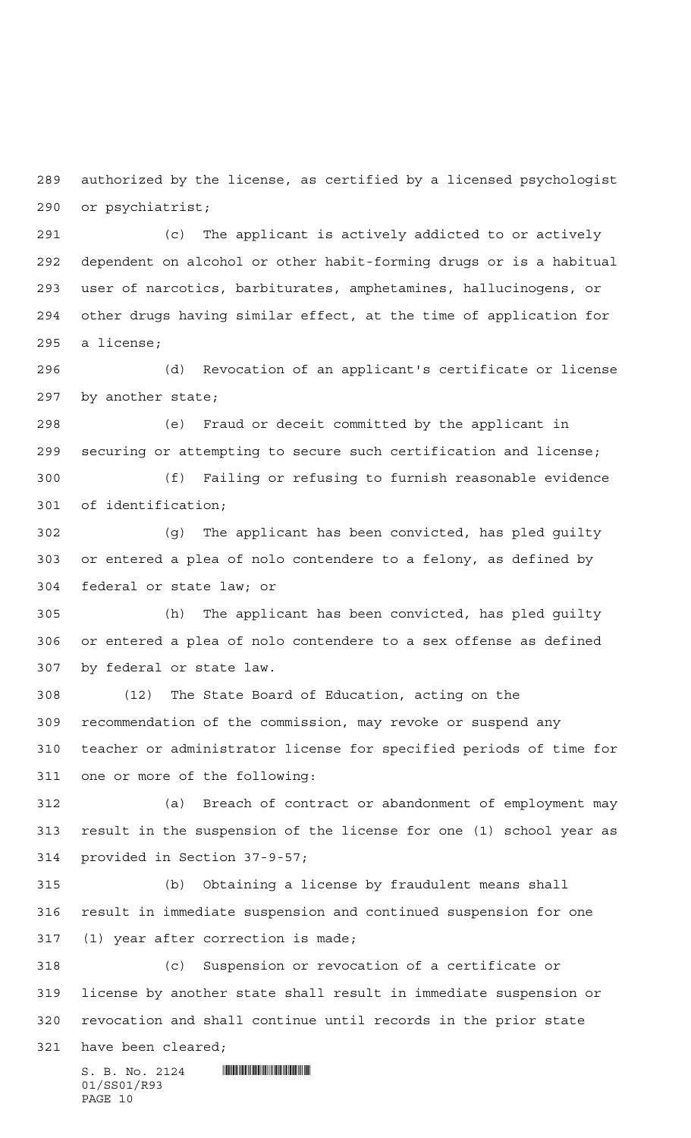authorized by the license, as certified by a licensed psychologist or psychiatrist;

 (c) The applicant is actively addicted to or actively dependent on alcohol or other habit-forming drugs or is a habitual user of narcotics, barbiturates, amphetamines, hallucinogens, or other drugs having similar effect, at the time of application for a license;

 (d) Revocation of an applicant's certificate or license by another state;

 (e) Fraud or deceit committed by the applicant in securing or attempting to secure such certification and license;

 (f) Failing or refusing to furnish reasonable evidence of identification;

 (g) The applicant has been convicted, has pled guilty or entered a plea of nolo contendere to a felony, as defined by federal or state law; or

 (h) The applicant has been convicted, has pled guilty or entered a plea of nolo contendere to a sex offense as defined by federal or state law.

 (12) The State Board of Education, acting on the recommendation of the commission, may revoke or suspend any teacher or administrator license for specified periods of time for one or more of the following:

 (a) Breach of contract or abandonment of employment may result in the suspension of the license for one (1) school year as provided in Section 37-9-57;

 (b) Obtaining a license by fraudulent means shall result in immediate suspension and continued suspension for one (1) year after correction is made;

 (c) Suspension or revocation of a certificate or license by another state shall result in immediate suspension or revocation and shall continue until records in the prior state

have been cleared;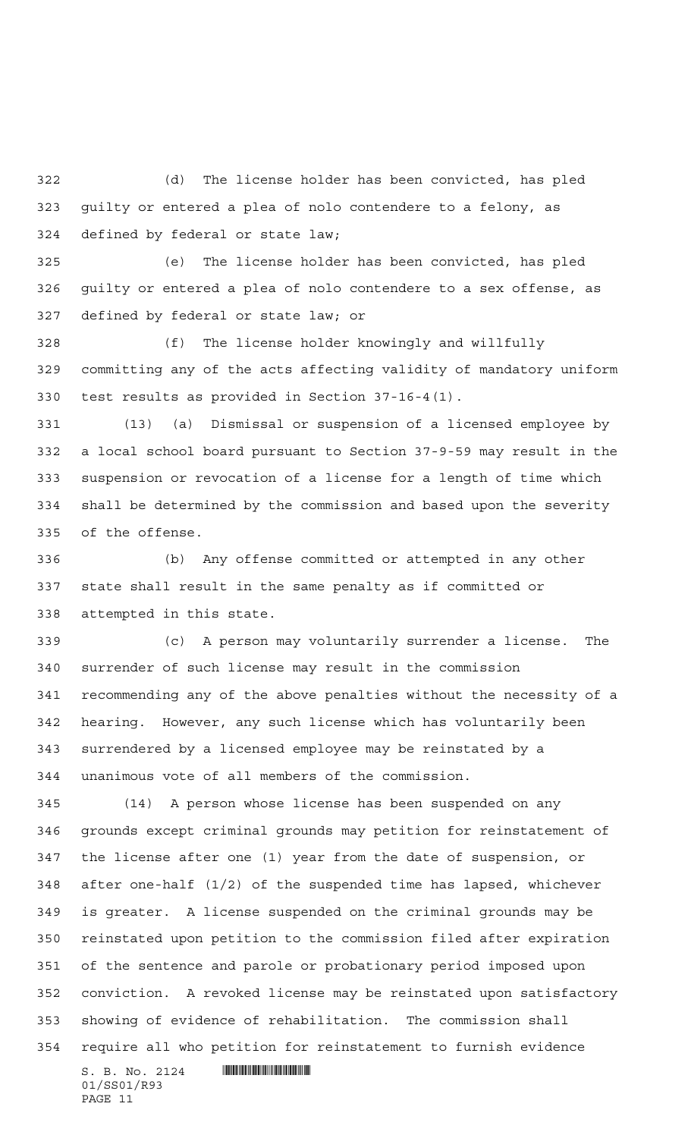(d) The license holder has been convicted, has pled guilty or entered a plea of nolo contendere to a felony, as defined by federal or state law;

 (e) The license holder has been convicted, has pled guilty or entered a plea of nolo contendere to a sex offense, as defined by federal or state law; or

 (f) The license holder knowingly and willfully committing any of the acts affecting validity of mandatory uniform test results as provided in Section 37-16-4(1).

 (13) (a) Dismissal or suspension of a licensed employee by a local school board pursuant to Section 37-9-59 may result in the suspension or revocation of a license for a length of time which shall be determined by the commission and based upon the severity of the offense.

 (b) Any offense committed or attempted in any other state shall result in the same penalty as if committed or attempted in this state.

 (c) A person may voluntarily surrender a license. The surrender of such license may result in the commission recommending any of the above penalties without the necessity of a hearing. However, any such license which has voluntarily been surrendered by a licensed employee may be reinstated by a unanimous vote of all members of the commission.

 (14) A person whose license has been suspended on any grounds except criminal grounds may petition for reinstatement of the license after one (1) year from the date of suspension, or after one-half (1/2) of the suspended time has lapsed, whichever is greater. A license suspended on the criminal grounds may be reinstated upon petition to the commission filed after expiration of the sentence and parole or probationary period imposed upon conviction. A revoked license may be reinstated upon satisfactory showing of evidence of rehabilitation. The commission shall require all who petition for reinstatement to furnish evidence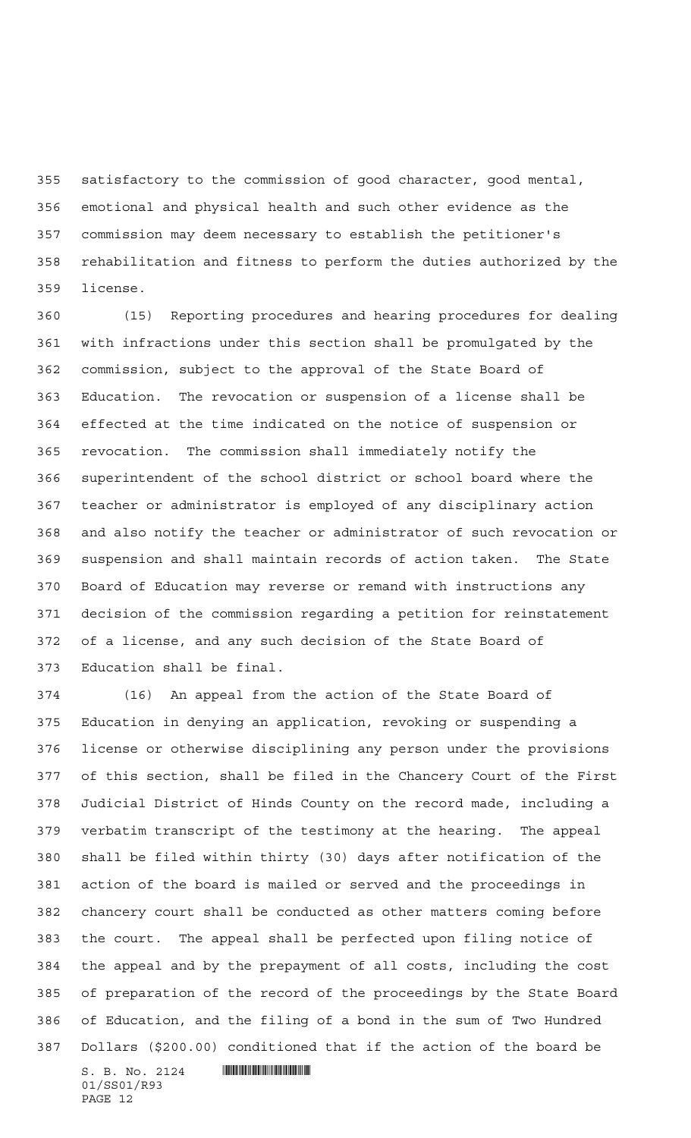satisfactory to the commission of good character, good mental, emotional and physical health and such other evidence as the commission may deem necessary to establish the petitioner's rehabilitation and fitness to perform the duties authorized by the license.

 (15) Reporting procedures and hearing procedures for dealing with infractions under this section shall be promulgated by the commission, subject to the approval of the State Board of Education. The revocation or suspension of a license shall be effected at the time indicated on the notice of suspension or revocation. The commission shall immediately notify the superintendent of the school district or school board where the teacher or administrator is employed of any disciplinary action and also notify the teacher or administrator of such revocation or suspension and shall maintain records of action taken. The State Board of Education may reverse or remand with instructions any decision of the commission regarding a petition for reinstatement of a license, and any such decision of the State Board of Education shall be final.

 (16) An appeal from the action of the State Board of Education in denying an application, revoking or suspending a license or otherwise disciplining any person under the provisions of this section, shall be filed in the Chancery Court of the First Judicial District of Hinds County on the record made, including a verbatim transcript of the testimony at the hearing. The appeal shall be filed within thirty (30) days after notification of the action of the board is mailed or served and the proceedings in chancery court shall be conducted as other matters coming before the court. The appeal shall be perfected upon filing notice of the appeal and by the prepayment of all costs, including the cost of preparation of the record of the proceedings by the State Board of Education, and the filing of a bond in the sum of Two Hundred Dollars (\$200.00) conditioned that if the action of the board be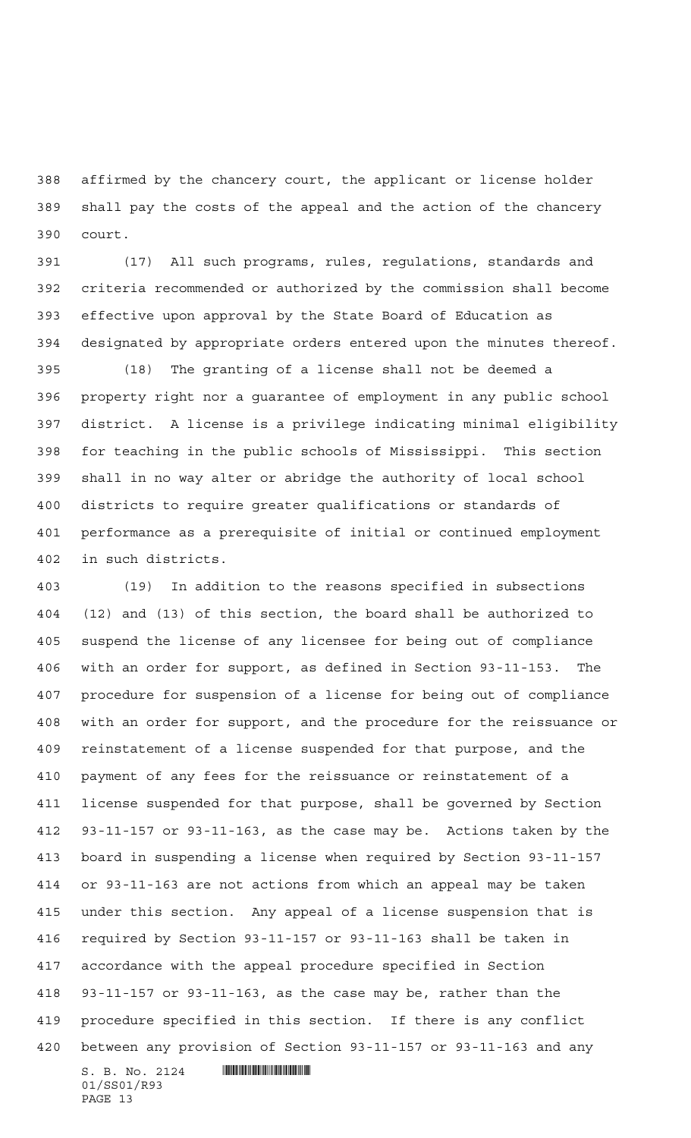affirmed by the chancery court, the applicant or license holder shall pay the costs of the appeal and the action of the chancery court.

 (17) All such programs, rules, regulations, standards and criteria recommended or authorized by the commission shall become effective upon approval by the State Board of Education as designated by appropriate orders entered upon the minutes thereof.

 (18) The granting of a license shall not be deemed a property right nor a guarantee of employment in any public school district. A license is a privilege indicating minimal eligibility for teaching in the public schools of Mississippi. This section shall in no way alter or abridge the authority of local school districts to require greater qualifications or standards of performance as a prerequisite of initial or continued employment in such districts.

 $S. B. No. 2124$  **INSIGNATION**  (19) In addition to the reasons specified in subsections (12) and (13) of this section, the board shall be authorized to suspend the license of any licensee for being out of compliance with an order for support, as defined in Section 93-11-153. The procedure for suspension of a license for being out of compliance with an order for support, and the procedure for the reissuance or reinstatement of a license suspended for that purpose, and the payment of any fees for the reissuance or reinstatement of a license suspended for that purpose, shall be governed by Section 93-11-157 or 93-11-163, as the case may be. Actions taken by the board in suspending a license when required by Section 93-11-157 or 93-11-163 are not actions from which an appeal may be taken under this section. Any appeal of a license suspension that is required by Section 93-11-157 or 93-11-163 shall be taken in accordance with the appeal procedure specified in Section 93-11-157 or 93-11-163, as the case may be, rather than the procedure specified in this section. If there is any conflict between any provision of Section 93-11-157 or 93-11-163 and any

01/SS01/R93 PAGE 13